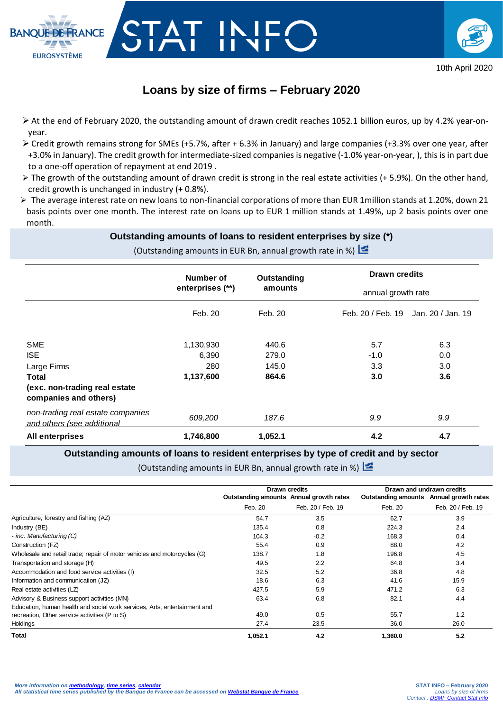



# **Loans by size of firms – February 2020**

TAT IN

- $\triangleright$  At the end of February 2020, the outstanding amount of drawn credit reaches 1052.1 billion euros, up by 4.2% year-onyear.
- $\triangleright$  Credit growth remains strong for SMEs (+5.7%, after + 6.3% in January) and large companies (+3.3% over one year, after +3.0% in January). The credit growth for intermediate-sized companies is negative (-1.0% year-on-year, ), this is in part due to a one-off operation of repayment at end 2019 .
- $\triangleright$  The growth of the outstanding amount of drawn credit is strong in the real estate activities (+ 5.9%). On the other hand, credit growth is unchanged in industry (+ 0.8%).
- $\triangleright$  The average interest rate on new loans to non-financial corporations of more than EUR 1 million stands at 1.20%, down 21 basis points over one month. The interest rate on loans up to EUR 1 million stands at 1.49%, up 2 basis points over one month.

# **Outstanding amounts of loans to resident enterprises by size (\*)**

(Outstanding amounts in EUR Bn, annual growth rate in %)

|                                                                                                            | Number of                              | Outstanding<br>amounts           | <b>Drawn credits</b>                                    |  |
|------------------------------------------------------------------------------------------------------------|----------------------------------------|----------------------------------|---------------------------------------------------------|--|
|                                                                                                            | enterprises (**)                       |                                  | annual growth rate                                      |  |
|                                                                                                            | Feb. 20                                | Feb. 20                          | Feb. 20 / Feb. 19<br>Jan. 20 / Jan. 19                  |  |
| <b>SME</b><br><b>ISE</b><br>Large Firms<br>Total<br>(exc. non-trading real estate<br>companies and others) | 1,130,930<br>6,390<br>280<br>1,137,600 | 440.6<br>279.0<br>145.0<br>864.6 | 5.7<br>6.3<br>$-1.0$<br>0.0<br>3.3<br>3.0<br>3.0<br>3.6 |  |
| non-trading real estate companies<br>and others (see additional                                            | 609,200                                | 187.6                            | 9.9<br>9.9                                              |  |
| All enterprises                                                                                            | 1,746,800                              | 1,052.1                          | 4.2<br>4.7                                              |  |

### **Outstanding amounts of loans to resident enterprises by type of credit and by sector**

(Outstanding amounts in EUR Bn, annual growth rate in %)

|                                                                           | Drawn credits                           |                   | Drawn and undrawn credits               |                   |
|---------------------------------------------------------------------------|-----------------------------------------|-------------------|-----------------------------------------|-------------------|
|                                                                           | Outstanding amounts Annual growth rates |                   | Outstanding amounts Annual growth rates |                   |
|                                                                           | Feb. 20                                 | Feb. 20 / Feb. 19 | Feb. 20                                 | Feb. 20 / Feb. 19 |
| Agriculture, forestry and fishing (AZ)                                    | 54.7                                    | 3.5               | 62.7                                    | 3.9               |
| Industry (BE)                                                             | 135.4                                   | 0.8               | 224.3                                   | 2.4               |
| - inc. Manufacturing (C)                                                  | 104.3                                   | $-0.2$            | 168.3                                   | 0.4               |
| Construction (FZ)                                                         | 55.4                                    | 0.9               | 88.0                                    | 4.2               |
| Wholesale and retail trade; repair of motor vehicles and motorcycles (G)  | 138.7                                   | 1.8               | 196.8                                   | 4.5               |
| Transportation and storage (H)                                            | 49.5                                    | 2.2               | 64.8                                    | 3.4               |
| Accommodation and food service activities (I)                             | 32.5                                    | 5.2               | 36.8                                    | 4.8               |
| Information and communication (JZ)                                        | 18.6                                    | 6.3               | 41.6                                    | 15.9              |
| Real estate activities (LZ)                                               | 427.5                                   | 5.9               | 471.2                                   | 6.3               |
| Advisory & Business support activities (MN)                               | 63.4                                    | 6.8               | 82.1                                    | 4.4               |
| Education, human health and social work services, Arts, entertainment and |                                         |                   |                                         |                   |
| recreation, Other service activities (P to S)                             | 49.0                                    | $-0.5$            | 55.7                                    | $-1.2$            |
| Holdings                                                                  | 27.4                                    | 23.5              | 36.0                                    | 26.0              |
| <b>Total</b>                                                              | 1,052.1                                 | 4.2               | 1,360.0                                 | 5.2               |